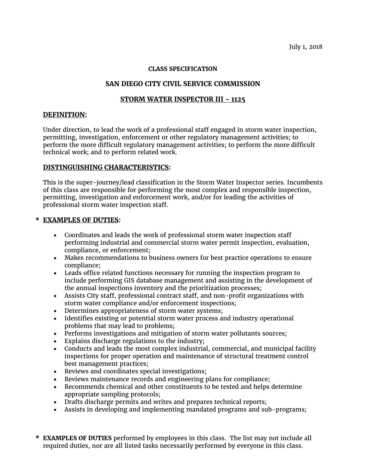July 1, 2018

#### **CLASS SPECIFICATION**

## **SAN DIEGO CITY CIVIL SERVICE COMMISSION**

## **STORM WATER INSPECTOR III - 1125**

#### **DEFINITION:**

Under direction, to lead the work of a professional staff engaged in storm water inspection, permitting, investigation, enforcement or other regulatory management activities; to perform the more difficult regulatory management activities; to perform the more difficult technical work; and to perform related work.

#### **DISTINGUISHING CHARACTERISTICS:**

This is the super-journey/lead classification in the Storm Water Inspector series. Incumbents of this class are responsible for performing the most complex and responsible inspection, permitting, investigation and enforcement work, and/or for leading the activities of professional storm water inspection staff.

## **\* EXAMPLES OF DUTIES:**

- Coordinates and leads the work of professional storm water inspection staff performing industrial and commercial storm water permit inspection, evaluation, compliance, or enforcement;
- Makes recommendations to business owners for best practice operations to ensure compliance;
- Leads office related functions necessary for running the inspection program to include performing GIS database management and assisting in the development of the annual inspections inventory and the prioritization processes;
- Assists City staff, professional contract staff, and non-profit organizations with storm water compliance and/or enforcement inspections;
- Determines appropriateness of storm water systems;
- Identifies existing or potential storm water process and industry operational problems that may lead to problems;
- Performs investigations and mitigation of storm water pollutants sources;
- Explains discharge regulations to the industry;
- Conducts and leads the most complex industrial, commercial, and municipal facility inspections for proper operation and maintenance of structural treatment control best management practices;
- Reviews and coordinates special investigations;
- Reviews maintenance records and engineering plans for compliance;
- Recommends chemical and other constituents to be tested and helps determine appropriate sampling protocols;
- Drafts discharge permits and writes and prepares technical reports;
- Assists in developing and implementing mandated programs and sub-programs;

**\* EXAMPLES OF DUTIES** performed by employees in this class. The list may not include all required duties, nor are all listed tasks necessarily performed by everyone in this class.